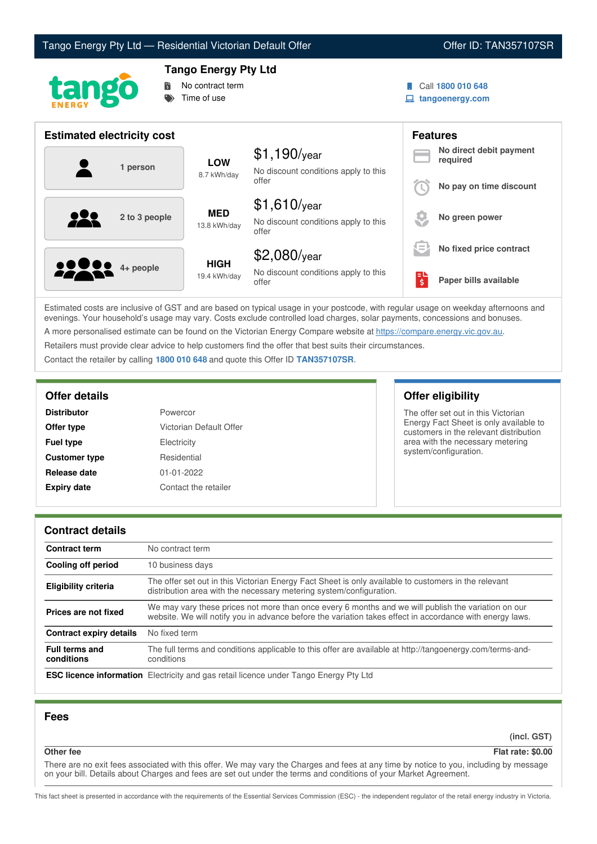



# **Tango Energy Pty Ltd**



Call **1800 010 648**

**tangoenergy.com**

| <b>Estimated electricity cost</b> |                             |                                                                 |                     | <b>Features</b>                     |
|-----------------------------------|-----------------------------|-----------------------------------------------------------------|---------------------|-------------------------------------|
| 1 person                          | <b>LOW</b><br>8.7 kWh/day   | $$1,190$ /year<br>No discount conditions apply to this          |                     | No direct debit payment<br>required |
|                                   |                             | offer                                                           |                     | No pay on time discount             |
| 222<br>2 to 3 people              | <b>MED</b><br>13.8 kWh/day  | $$1,610$ /year<br>No discount conditions apply to this<br>offer |                     | No green power                      |
|                                   |                             | \$2,080/year                                                    | s =                 | No fixed price contract             |
| <b>00000</b> 4+ people            | <b>HIGH</b><br>19.4 kWh/day | No discount conditions apply to this<br>offer                   | $\ddot{\mathsf{s}}$ | Paper bills available               |

Estimated costs are inclusive of GST and are based on typical usage in your postcode, with regular usage on weekday afternoons and evenings. Your household's usage may vary. Costs exclude controlled load charges, solar payments, concessions and bonuses. A more personalised estimate can be found on the Victorian Energy Compare website at <https://compare.energy.vic.gov.au>.

Retailers must provide clear advice to help customers find the offer that best suits their circumstances.

Contact the retailer by calling **1800 010 648** and quote this Offer ID **TAN357107SR**.

| <b>Distributor</b>   | Powercor                |
|----------------------|-------------------------|
| Offer type           | Victorian Default Offer |
| <b>Fuel type</b>     | Electricity             |
| <b>Customer type</b> | Residential             |
| Release date         | $01 - 01 - 2022$        |
| <b>Expiry date</b>   | Contact the retailer    |

## **Offer details Offer eligibility**

The offer set out in this Victorian Energy Fact Sheet is only available to customers in the relevant distribution area with the necessary metering system/configuration.

## **Contract details**

| <b>Contract term</b>                | No contract term                                                                                                                                                                                                |
|-------------------------------------|-----------------------------------------------------------------------------------------------------------------------------------------------------------------------------------------------------------------|
| Cooling off period                  | 10 business days                                                                                                                                                                                                |
| <b>Eligibility criteria</b>         | The offer set out in this Victorian Energy Fact Sheet is only available to customers in the relevant<br>distribution area with the necessary metering system/configuration.                                     |
| Prices are not fixed                | We may vary these prices not more than once every 6 months and we will publish the variation on our<br>website. We will notify you in advance before the variation takes effect in accordance with energy laws. |
| <b>Contract expiry details</b>      | No fixed term                                                                                                                                                                                                   |
| <b>Full terms and</b><br>conditions | The full terms and conditions applicable to this offer are available at http://tangoenergy.com/terms-and-<br>conditions                                                                                         |
|                                     | <b>ESC licence information</b> Electricity and gas retail licence under Tango Energy Pty Ltd                                                                                                                    |

## **Fees**

**(incl. GST)**

#### **Other fee Flat rate: \$0.00**

There are no exit fees associated with this offer. We may vary the Charges and fees at any time by notice to you, including by message on your bill. Details about Charges and fees are set out under the terms and conditions of your Market Agreement.

This fact sheet is presented in accordance with the requirements of the Essential Services Commission (ESC) - the independent regulator of the retail energy industry in Victoria.